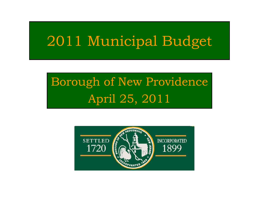# 2011 Municipal Budget

# Borough of New Providence April 25, 2011

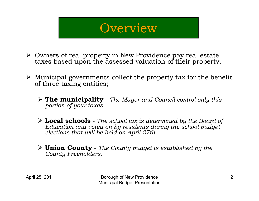#### **Overview**

- ¾ Owners of real property in New Providence pay real estate taxes based upon the assessed valuation of their property.
- $\triangleright$  Municipal governments collect the property tax for the benefit of three taxing entities;
	- ¾ **The municipality** *The Mayor and Council control only this portion of your taxes.*
	- ¾ **Local schools** *The school tax is determined by the Board of Education and voted on by residents during the school budget elections that will be held on April 27th.*
	- ¾ **Union County** *The County budget is established by the County Freeholders.*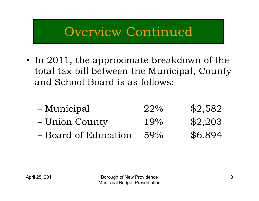#### Overview Continued

- In 2011, the approximate breakdown of the total tax bill between the Municipal, County and School Board is as follows:
	- Municipal 22% \$2,582 Union County 19% \$2,203 Board of Education 59% \$6,894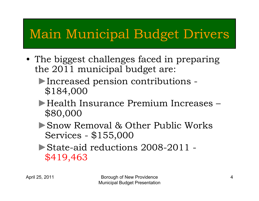## Main Municipal Budget Drivers

- The biggest challenges faced in preparing the 2011 municipal budget are:
	- ►Increased pension contributions \$184,000
	- ►Health Insurance Premium Increases \$80,000
	- ►Snow Removal & Other Public Works Services - \$155,000
	- ►State-aid reductions 2008-2011 \$419,463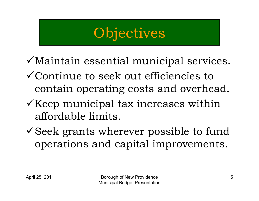# **Objectives**

- $\checkmark$  Maintain essential municipal services.
- $\checkmark$  Continue to seek out efficiencies to contain operating costs and overhead.
- $\checkmark$  Keep municipal tax increases within affordable limits.
- $\checkmark$  Seek grants wherever possible to fund operations and capital improvements.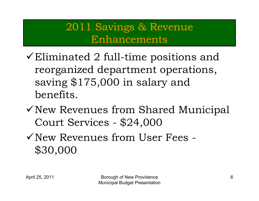#### 2011 Savings & Revenue Enhancements

- $\checkmark$  Eliminated 2 full-time positions and reorganized department operations, saving \$175,000 in salary and benefits.
- $\checkmark$  New Revenues from Shared Municipal Court Services - \$24,000
- 9New Revenues from User Fees -\$30,000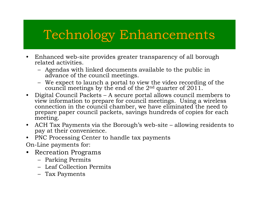### Technology Enhancements

- • Enhanced web-site provides greater transparency of all borough related activities.
	- Agendas with linked documents available to the public in advance of the council meetings.
	- We expect to launch a portal to view the video recording of the council meetings by the end of the 2nd quarter of 2011.
- $\bullet$  Digital Council Packets – A secure portal allows council members to view information to prepare for council meetings. Using a wireless connection in the council chamber, we have eliminated the need to prepare paper council packets, savings hundreds of copies for each meeting.
- $\bullet$  ACH Tax Payments via the Borough's web-site – allowing residents to pay at their convenience.
- $\bullet$ PNC Processing Center to handle tax payments

On-Line payments for:

- • Recreation Programs
	- Parking Permits
	- Leaf Collection Permits
	- Tax Payments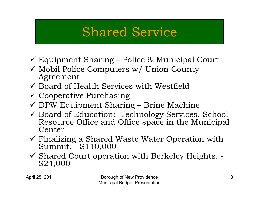## Shared Service

- 9 Equipment Sharing Police & Municipal Court
- $\checkmark$  Mobil Police Computers w/ Union County Agreement
- $\checkmark$  Board of Health Services with Westfield
- $\checkmark$  Cooperative Purchasing
- 9 DPW Equipment Sharing Brine Machine
- Goard of Education: Technology Services, School Resource Office and Office space in the Municipal Center
- $\checkmark$  Finalizing a Shared Waste Water Operation with Summit. \$110,000
- 9 Shared Court operation with Berkeley Heights. \$24,000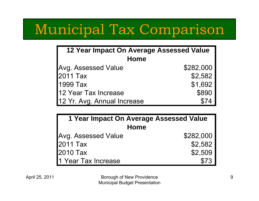# Municipal Tax Comparison

| 12 Year Impact On Average Assessed Value |           |  |
|------------------------------------------|-----------|--|
| Home                                     |           |  |
| Avg. Assessed Value                      | \$282,000 |  |
| 2011 Tax                                 | \$2,582   |  |
| 1999 Tax                                 | \$1,692   |  |
| 12 Year Tax Increase                     | \$890     |  |
| 12 Yr. Avg. Annual Increase              | \$74      |  |

| 1 Year Impact On Average Assessed Value |           |  |
|-----------------------------------------|-----------|--|
| Home                                    |           |  |
| Avg. Assessed Value                     | \$282,000 |  |
| 2011 Tax                                | \$2,582   |  |
| 2010 Tax                                | \$2,509   |  |
| 1 Year Tax Increase                     | \$73      |  |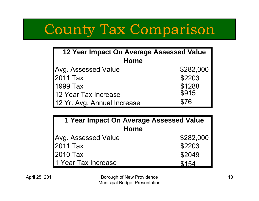# County Tax Comparison

| <b>12 Year Impact On Average Assessed Value</b> |           |  |
|-------------------------------------------------|-----------|--|
| <b>Home</b>                                     |           |  |
| <b>Avg. Assessed Value</b>                      | \$282,000 |  |
| 2011 Tax                                        | \$2203    |  |
| 1999 Tax                                        | \$1288    |  |
| 12 Year Tax Increase                            | \$915     |  |
| 12 Yr. Avg. Annual Increase                     | \$76      |  |

| 1 Year Impact On Average Assessed Value |           |  |  |
|-----------------------------------------|-----------|--|--|
| Home                                    |           |  |  |
| Avg. Assessed Value                     | \$282,000 |  |  |
| 2011 Tax                                | \$2203    |  |  |
| 2010 Tax                                | \$2049    |  |  |
| 1 Year Tax Increase                     | \$154     |  |  |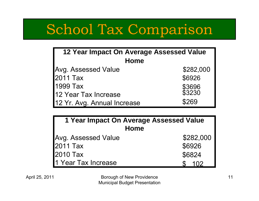# School Tax Comparison

| 12 Year Impact On Average Assessed Value |                  |  |  |
|------------------------------------------|------------------|--|--|
| <b>Home</b>                              |                  |  |  |
| <b>Avg. Assessed Value</b>               | \$282,000        |  |  |
| 2011 Tax                                 | \$6926           |  |  |
| 1999 Tax                                 | \$3696<br>\$3230 |  |  |
| 12 Year Tax Increase                     |                  |  |  |
| 12 Yr. Avg. Annual Increase              | \$269            |  |  |

| 1 Year Impact On Average Assessed Value |           |  |  |
|-----------------------------------------|-----------|--|--|
| Home                                    |           |  |  |
| <b>Avg. Assessed Value</b>              | \$282,000 |  |  |
| 2011 Tax                                | \$6926    |  |  |
| 2010 Tax                                | \$6824    |  |  |
| 1 Year Tax Increase                     | 102       |  |  |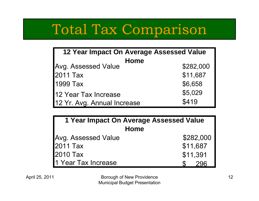# Total Tax Comparison

| 12 Year Impact On Average Assessed Value |           |  |  |
|------------------------------------------|-----------|--|--|
| <b>Home</b>                              |           |  |  |
| <b>Avg. Assessed Value</b>               | \$282,000 |  |  |
| 2011 Tax                                 | \$11,687  |  |  |
| 1999 Tax                                 | \$6,658   |  |  |
| 12 Year Tax Increase                     | \$5,029   |  |  |
| 12 Yr. Avg. Annual Increase              | \$419     |  |  |

| 1 Year Impact On Average Assessed Value |           |  |  |  |
|-----------------------------------------|-----------|--|--|--|
| Home                                    |           |  |  |  |
| Avg. Assessed Value                     | \$282,000 |  |  |  |
| 2011 Tax                                | \$11,687  |  |  |  |
| 2010 Tax                                | \$11,391  |  |  |  |
| 1 Year Tax Increase                     |           |  |  |  |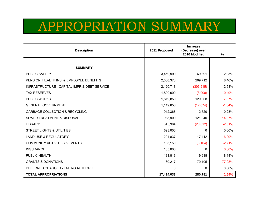#### APPROPRIATION SUMMARY

| <b>Description</b>                                      | 2011 Proposed | $\frac{9}{6}$ |           |
|---------------------------------------------------------|---------------|---------------|-----------|
|                                                         |               |               |           |
| <b>SUMMARY</b>                                          |               |               |           |
| PUBLIC SAFETY                                           | 3,459,990     | 69,391        | 2.05%     |
| PENSION, HEALTH INS. & EMPLOYEE BENEFITS                | 2,688,378     | 209,712       | 8.46%     |
| <b>INFRASTRUCTURE - CAPITAL IMPR &amp; DEBT SERVICE</b> | 2,120,718     | (303, 915)    | $-12.53%$ |
| <b>TAX RESERVES</b>                                     | 1,800,000     | (8,900)       | $-0.49%$  |
| PUBLIC WORKS                                            | 1,819,850     | 129,668       | 7.67%     |
| <b>GENERAL GOVERNMENT</b>                               | 1,149,850     | (12,074)      | $-1.04%$  |
| <b>GARBAGE COLLECTION &amp; RECYCLING</b>               | 912,366       | 2,520         | 0.28%     |
| <b>SEWER TREATMENT &amp; DISPOSAL</b>                   | 988,900       | 121,940       | 14.07%    |
| <b>LIBRARY</b>                                          | 845,964       | (20, 012)     | $-2.31%$  |
| <b>STREET LIGHTS &amp; UTILITIES</b>                    | 693,000       | 0             | 0.00%     |
| <b>LAND USE &amp; REGULATORY</b>                        | 294,837       | 17,442        | 6.29%     |
| <b>COMMUNITY ACTIVITIES &amp; EVENTS</b>                | 183,150       | (5, 104)      | $-2.71%$  |
| <b>INSURANCE</b>                                        | 165,000       | 0             | 0.00%     |
| PUBLIC HEALTH                                           | 131,813       | 9,918         | 8.14%     |
| <b>GRANTS &amp; DONATIONS</b>                           | 160,217       | 70,195        | 77.98%    |
| DEFERRED CHARGES - EMERG AUTHORIZ                       | $\mathbf 0$   | 0             | 0.00%     |
| <b>TOTAL APPROPRIATIONS</b>                             | 17,414,033    | 280,781       | 1.64%     |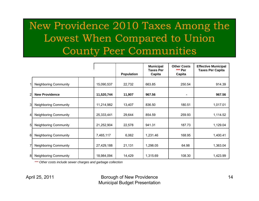#### New Providence 2010 Taxes Among the Lowest When Compared to Union County Peer Communities

|                |                              |            |                   | <b>Municipal</b><br><b>Taxes Per</b> | <b>Other Costs</b><br>*** Per | <b>Effective Municipal</b><br><b>Taxes Per Capita</b> |
|----------------|------------------------------|------------|-------------------|--------------------------------------|-------------------------------|-------------------------------------------------------|
|                |                              |            | <b>Population</b> | Capita                               | Capita                        |                                                       |
| 1              | <b>Neighboring Community</b> | 15,090,537 | 22,732            | 663.85                               | 250.54                        | 914.39                                                |
| 2 <sub>1</sub> | <b>New Providence</b>        | 11,520,744 | 11,907            | 967.56                               | $\blacksquare$                | 967.56                                                |
| 3              | <b>Neighboring Community</b> | 11,214,982 | 13,407            | 836.50                               | 180.51                        | 1,017.01                                              |
| $\vert$        | <b>Neighboring Community</b> | 25,333,441 | 29,644            | 854.59                               | 259.93                        | 1,114.52                                              |
| 5 <sub>l</sub> | <b>Neighboring Community</b> | 21,252,904 | 22,578            | 941.31                               | 187.73                        | 1,129.04                                              |
| 6              | <b>Neighboring Community</b> | 7,465,117  | 6,062             | 1,231.46                             | 168.95                        | 1,400.41                                              |
| 7              | <b>Neighboring Community</b> | 27,429,188 | 21,131            | 1,298.05                             | 64.98                         | 1,363.04                                              |
| 8              | <b>Neighboring Community</b> | 18,984,094 | 14,429            | 1,315.69                             | 108.30                        | 1,423.99                                              |

*\*\*\* Other costs include sewer charges and garbage collection*

#### April 25, 2011 Borough of New Providence Municipal Budget Presentation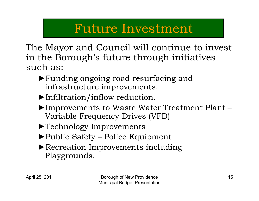#### Future Investment

The Mayor and Council will continue to invest in the Borough's future through initiatives such as:

- ►Funding ongoing road resurfacing and infrastructure improvements.
- ►Infiltration/inflow reduction.
- ►Improvements to Waste Water Treatment Plant Variable Frequency Drives (VFD)
- ►Technology Improvements
- ►Public Safety Police Equipment
- ▶Recreation Improvements including Playgrounds.